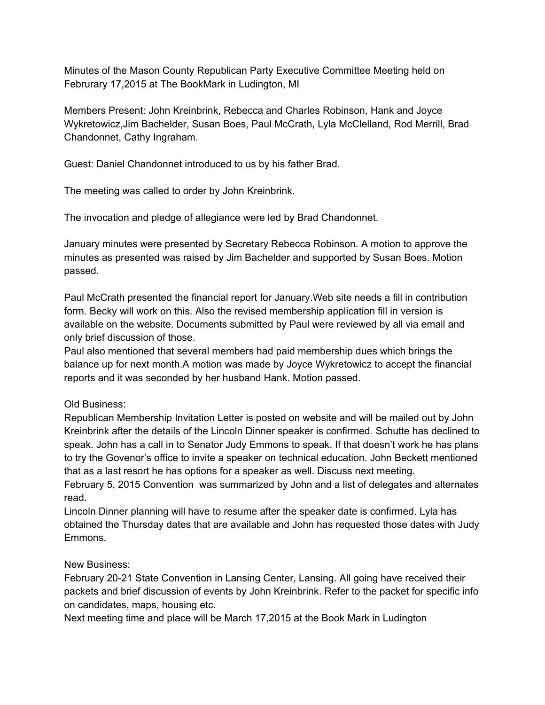Minutes of the Mason County Republican Party Executive Committee Meeting held on Februrary 17,2015 at The BookMark in Ludington, MI

Members Present: John Kreinbrink, Rebecca and Charles Robinson, Hank and Joyce Wykretowicz,Jim Bachelder, Susan Boes, Paul McCrath, Lyla McClelland, Rod Merrill, Brad Chandonnet, Cathy Ingraham.

Guest: Daniel Chandonnet introduced to us by his father Brad.

The meeting was called to order by John Kreinbrink.

The invocation and pledge of allegiance were led by Brad Chandonnet.

January minutes were presented by Secretary Rebecca Robinson. A motion to approve the minutes as presented was raised by Jim Bachelder and supported by Susan Boes. Motion passed.

Paul McCrath presented the financial report for January.Web site needs a fill in contribution form. Becky will work on this. Also the revised membership application fill in version is available on the website. Documents submitted by Paul were reviewed by all via email and only brief discussion of those.

Paul also mentioned that several members had paid membership dues which brings the balance up for next month.A motion was made by Joyce Wykretowicz to accept the financial reports and it was seconded by her husband Hank. Motion passed.

## Old Business:

Republican Membership Invitation Letter is posted on website and will be mailed out by John Kreinbrink after the details of the Lincoln Dinner speaker is confirmed. Schutte has declined to speak. John has a call in to Senator Judy Emmons to speak. If that doesn't work he has plans to try the Govenor's office to invite a speaker on technical education. John Beckett mentioned that as a last resort he has options for a speaker as well. Discuss next meeting.

February 5, 2015 Convention was summarized by John and a list of delegates and alternates read.

Lincoln Dinner planning will have to resume after the speaker date is confirmed. Lyla has obtained the Thursday dates that are available and John has requested those dates with Judy Emmons.

## New Business:

February 2021 State Convention in Lansing Center, Lansing. All going have received their packets and brief discussion of events by John Kreinbrink. Refer to the packet for specific info on candidates, maps, housing etc.

Next meeting time and place will be March 17,2015 at the Book Mark in Ludington